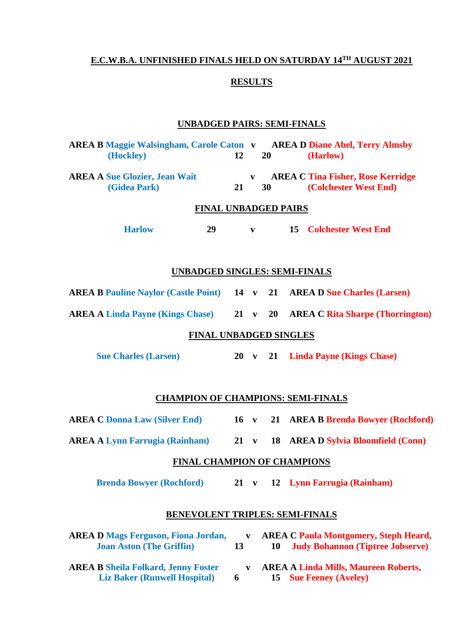#### **E.C.W.B.A. UNFINISHED FINALS HELD ON SATURDAY 14 TH AUGUST 2021**

### **RESULTS**

# **UNBADGED PAIRS: SEMI-FINALS**

| <b>AREA B Maggie Walsingham, Carole Caton v AREA D Diane Abel, Terry Almsby</b><br>(Hockley) |    | 12           | 20                 |  | (Harlow)                                                                                |
|----------------------------------------------------------------------------------------------|----|--------------|--------------------|--|-----------------------------------------------------------------------------------------|
| <b>AREA A Sue Glozier, Jean Wait</b><br>(Gidea Park)                                         | 21 |              | $\mathbf{V}$<br>30 |  | <b>AREA C Tina Fisher, Rose Kerridge</b><br>(Colchester West End)                       |
| <b>FINAL UNBADGED PAIRS</b>                                                                  |    |              |                    |  |                                                                                         |
| <b>Harlow</b><br>29                                                                          |    | $\mathbf{v}$ |                    |  | <b>15 Colchester West End</b>                                                           |
| <b>UNBADGED SINGLES: SEMI-FINALS</b>                                                         |    |              |                    |  |                                                                                         |
| <b>AREA B Pauline Naylor (Castle Point)</b> 14 v 21 AREA D Sue Charles (Larsen)              |    |              |                    |  |                                                                                         |
| AREA A Linda Payne (Kings Chase) 21 v 20 AREA C Rita Sharpe (Thorrington)                    |    |              |                    |  |                                                                                         |
| <b>FINAL UNBADGED SINGLES</b>                                                                |    |              |                    |  |                                                                                         |
| <b>Sue Charles (Larsen)</b>                                                                  |    |              |                    |  | 20 v 21 Linda Payne (Kings Chase)                                                       |
| <b>CHAMPION OF CHAMPIONS: SEMI-FINALS</b>                                                    |    |              |                    |  |                                                                                         |
| <b>AREA C Donna Law (Silver End)</b>                                                         |    |              |                    |  | 16 v 21 AREA B Brenda Bowyer (Rochford)                                                 |
| <b>AREA A Lynn Farrugia (Rainham)</b> 21 v                                                   |    |              |                    |  | 18 AREA D Sylvia Bloomfield (Conn)                                                      |
| FINAL CHAMPION OF CHAMPIONS                                                                  |    |              |                    |  |                                                                                         |
| <b>Brenda Bowyer (Rochford)</b>                                                              |    |              |                    |  | 21 v 12 Lynn Farrugia (Rainham)                                                         |
| <b>BENEVOLENT TRIPLES: SEMI-FINALS</b>                                                       |    |              |                    |  |                                                                                         |
| <b>AREA D Mags Ferguson, Fiona Jordan,</b><br><b>Joan Aston (The Griffin)</b>                | 13 | $\mathbf{V}$ | 10                 |  | <b>AREA C Paula Montgomery, Steph Heard,</b><br><b>Judy Bohannon (Tiptree Jobserve)</b> |
| <b>AREA B Sheila Folkard, Jenny Foster</b><br><b>Liz Baker (Runwell Hospital)</b>            | 6  | $\mathbf{v}$ | 15                 |  | <b>AREA A Linda Mills, Maureen Roberts,</b><br><b>Sue Feeney (Aveley)</b>               |